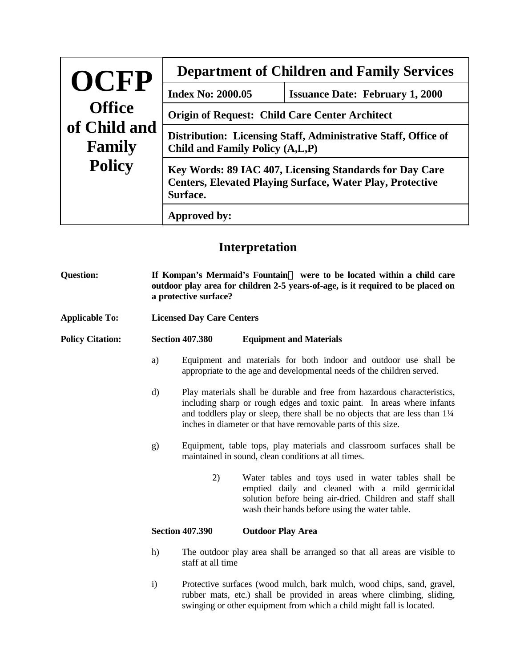| OCFP                   | <b>Department of Children and Family Services</b>                                                                                                          |                                        |  |  |
|------------------------|------------------------------------------------------------------------------------------------------------------------------------------------------------|----------------------------------------|--|--|
|                        | <b>Index No: 2000.05</b>                                                                                                                                   | <b>Issuance Date: February 1, 2000</b> |  |  |
| <b>Office</b>          | <b>Origin of Request: Child Care Center Architect</b><br>Distribution: Licensing Staff, Administrative Staff, Office of<br>Child and Family Policy (A,L,P) |                                        |  |  |
| of Child and<br>Family |                                                                                                                                                            |                                        |  |  |
| <b>Policy</b>          | Key Words: 89 IAC 407, Licensing Standards for Day Care<br><b>Centers, Elevated Playing Surface, Water Play, Protective</b><br>Surface.                    |                                        |  |  |
|                        | Approved by:                                                                                                                                               |                                        |  |  |

## **Interpretation**

| <b>Question:</b>        |              | If Kompan's Mermaid's Fountain o were to be located within a child care<br>outdoor play area for children 2-5 years-of-age, is it required to be placed on<br>a protective surface?                                                                                                                                        |                                                                                                                                                                                                                        |  |
|-------------------------|--------------|----------------------------------------------------------------------------------------------------------------------------------------------------------------------------------------------------------------------------------------------------------------------------------------------------------------------------|------------------------------------------------------------------------------------------------------------------------------------------------------------------------------------------------------------------------|--|
| <b>Applicable To:</b>   |              | <b>Licensed Day Care Centers</b>                                                                                                                                                                                                                                                                                           |                                                                                                                                                                                                                        |  |
| <b>Policy Citation:</b> |              | <b>Section 407.380</b>                                                                                                                                                                                                                                                                                                     | <b>Equipment and Materials</b>                                                                                                                                                                                         |  |
|                         | a)           | Equipment and materials for both indoor and outdoor use shall be<br>appropriate to the age and developmental needs of the children served.                                                                                                                                                                                 |                                                                                                                                                                                                                        |  |
|                         | d)           | Play materials shall be durable and free from hazardous characteristics,<br>including sharp or rough edges and toxic paint. In areas where infants<br>and toddlers play or sleep, there shall be no objects that are less than 1 <sup>1</sup> /4<br>inches in diameter or that have removable parts of this size.          |                                                                                                                                                                                                                        |  |
|                         | g)           | Equipment, table tops, play materials and classroom surfaces shall be<br>maintained in sound, clean conditions at all times.                                                                                                                                                                                               |                                                                                                                                                                                                                        |  |
|                         |              | 2)                                                                                                                                                                                                                                                                                                                         | Water tables and toys used in water tables shall be<br>emptied daily and cleaned with a mild germicidal<br>solution before being air-dried. Children and staff shall<br>wash their hands before using the water table. |  |
|                         |              | <b>Section 407.390</b>                                                                                                                                                                                                                                                                                                     | <b>Outdoor Play Area</b>                                                                                                                                                                                               |  |
|                         | h)           | The outdoor play area shall be arranged so that all areas are visible to<br>staff at all time<br>Protective surfaces (wood mulch, bark mulch, wood chips, sand, gravel,<br>rubber mats, etc.) shall be provided in areas where climbing, sliding,<br>swinging or other equipment from which a child might fall is located. |                                                                                                                                                                                                                        |  |
|                         | $\mathbf{i}$ |                                                                                                                                                                                                                                                                                                                            |                                                                                                                                                                                                                        |  |